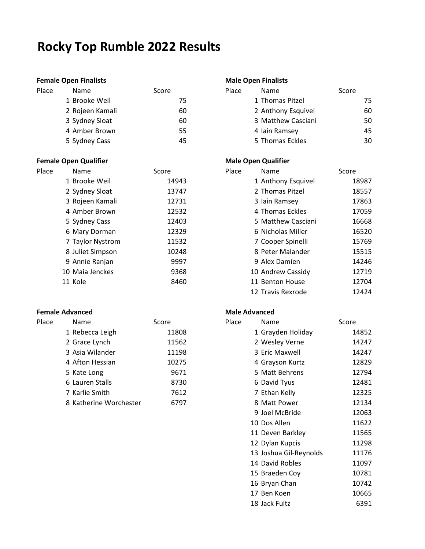# **Rocky Top Rumble 2022 Results**

### **Female Open Finalists Male Open Finalists**

| Place | <b>Name</b>     | Score | Place | Name               | Score |
|-------|-----------------|-------|-------|--------------------|-------|
|       | 1 Brooke Weil   | 75    |       | 1 Thomas Pitzel    |       |
|       | 2 Rojeen Kamali | 60    |       | 2 Anthony Esquivel |       |
|       | 3 Sydney Sloat  | 60    |       | 3 Matthew Casciani |       |
|       | 4 Amber Brown   | 55    |       | 4 Iain Ramsey      |       |
|       | 5 Sydney Cass   | 45    |       | 5 Thomas Eckles    |       |

### **Female Open Qualifier Male Open Qualifier Male Open Qualifier**

| Place | Name             | Score | Place | Name               | Score |
|-------|------------------|-------|-------|--------------------|-------|
|       | 1 Brooke Weil    | 14943 |       | 1 Anthony Esquivel | 1     |
|       | 2 Sydney Sloat   | 13747 |       | 2 Thomas Pitzel    | 1     |
|       | 3 Rojeen Kamali  | 12731 |       | 3 Iain Ramsey      | 1     |
|       | 4 Amber Brown    | 12532 |       | 4 Thomas Eckles    | 1     |
|       | 5 Sydney Cass    | 12403 |       | 5 Matthew Casciani | 1     |
|       | 6 Mary Dorman    | 12329 |       | 6 Nicholas Miller  | 1     |
|       | 7 Taylor Nystrom | 11532 |       | 7 Cooper Spinelli  | 1     |
|       | 8 Juliet Simpson | 10248 |       | 8 Peter Malander   | 1     |
|       | 9 Annie Ranjan   | 9997  |       | 9 Alex Damien      | 1     |
|       | 10 Maia Jenckes  | 9368  |       | 10 Andrew Cassidy  | 1     |
|       | 11 Kole          | 8460  |       | 11 Benton House    | 1     |
|       |                  |       |       |                    |       |

# **Female Advanced Male Advanced Male Advanced**

| Place | Name                   | Score | Place | Name              | Score |
|-------|------------------------|-------|-------|-------------------|-------|
|       | 1 Rebecca Leigh        | 11808 |       | 1 Grayden Holiday | 1     |
|       | 2 Grace Lynch          | 11562 |       | 2 Wesley Verne    | 1     |
|       | 3 Asia Wilander        | 11198 |       | 3 Eric Maxwell    | 1     |
|       | 4 Afton Hessian        | 10275 |       | 4 Grayson Kurtz   | 1     |
|       | 5 Kate Long            | 9671  |       | 5 Matt Behrens    | 1     |
|       | 6 Lauren Stalls        | 8730  |       | 6 David Tyus      |       |
|       | 7 Karlie Smith         | 7612  |       | 7 Ethan Kelly     | 1     |
|       | 8 Katherine Worchester | 6797  |       | 8 Matt Power      |       |

| Name            | Score | Place | Name               | Score |
|-----------------|-------|-------|--------------------|-------|
| 1 Brooke Weil   | 75    |       | 1 Thomas Pitzel    | 75    |
| 2 Rojeen Kamali | 60    |       | 2 Anthony Esquivel | 60    |
| 3 Sydney Sloat  | 60    |       | 3 Matthew Casciani | 50    |
| 4 Amber Brown   | 55    |       | 4 Iain Ramsey      | 45    |
| 5 Sydney Cass   | 45    |       | 5 Thomas Eckles    | 30    |

| Name             | Score | Place | Name               | Score |
|------------------|-------|-------|--------------------|-------|
| 1 Brooke Weil    | 14943 |       | 1 Anthony Esquivel | 18987 |
| 2 Sydney Sloat   | 13747 |       | 2 Thomas Pitzel    | 18557 |
| 3 Rojeen Kamali  | 12731 |       | 3 Iain Ramsey      | 17863 |
| 4 Amber Brown    | 12532 |       | 4 Thomas Eckles    | 17059 |
| 5 Sydney Cass    | 12403 |       | 5 Matthew Casciani | 16668 |
| 6 Mary Dorman    | 12329 |       | 6 Nicholas Miller  | 16520 |
| 7 Taylor Nystrom | 11532 |       | 7 Cooper Spinelli  | 15769 |
| 8 Juliet Simpson | 10248 |       | 8 Peter Malander   | 15515 |
| 9 Annie Ranjan   | 9997  |       | 9 Alex Damien      | 14246 |
| 10 Maia Jenckes  | 9368  |       | 10 Andrew Cassidy  | 12719 |
| 11 Kole          | 8460  |       | 11 Benton House    | 12704 |
|                  |       |       | 12 Travis Rexrode  | 12424 |

| Name                   | Score | Place | Name                   | Score |
|------------------------|-------|-------|------------------------|-------|
| 1 Rebecca Leigh        | 11808 |       | 1 Grayden Holiday      | 14852 |
| 2 Grace Lynch          | 11562 |       | 2 Wesley Verne         | 14247 |
| 3 Asia Wilander        | 11198 |       | 3 Eric Maxwell         | 14247 |
| 4 Afton Hessian        | 10275 |       | 4 Grayson Kurtz        | 12829 |
| 5 Kate Long            | 9671  |       | 5 Matt Behrens         | 12794 |
| 6 Lauren Stalls        | 8730  |       | 6 David Tyus           | 12481 |
| 7 Karlie Smith         | 7612  |       | 7 Ethan Kelly          | 12325 |
| 8 Katherine Worchester | 6797  |       | 8 Matt Power           | 12134 |
|                        |       |       | 9 Joel McBride         | 12063 |
|                        |       |       | 10 Dos Allen           | 11622 |
|                        |       |       | 11 Deven Barkley       | 11565 |
|                        |       |       | 12 Dylan Kupcis        | 11298 |
|                        |       |       | 13 Joshua Gil-Reynolds | 11176 |
|                        |       |       | 14 David Robles        | 11097 |
|                        |       |       | 15 Braeden Coy         | 10781 |
|                        |       |       | 16 Bryan Chan          | 10742 |
|                        |       |       | 17 Ben Koen            | 10665 |
|                        |       |       | 18 Jack Fultz          | 6391  |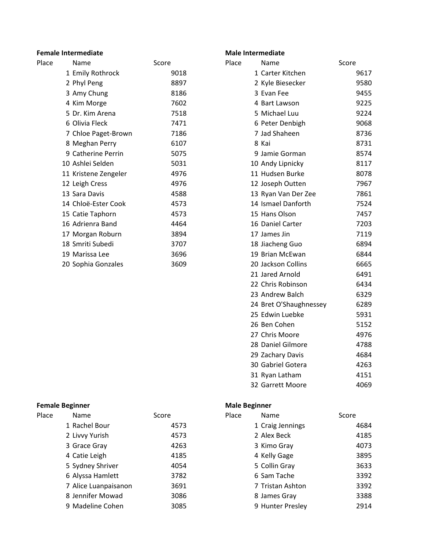# **Female Intermediate Male Intermediate Male Intermediate**

| Place | Name                 | Score | Place<br>Name       | Score |
|-------|----------------------|-------|---------------------|-------|
|       | 1 Emily Rothrock     | 9018  | 1 Carter Kitchen    | 9617  |
|       | 2 Phyl Peng          | 8897  | 2 Kyle Biesecker    | 9580  |
|       | 3 Amy Chung          | 8186  | 3 Evan Fee          | 9455  |
|       | 4 Kim Morge          | 7602  | 4 Bart Lawson       | 9225  |
|       | 5 Dr. Kim Arena      | 7518  | 5 Michael Luu       | 9224  |
|       | 6 Olivia Fleck       | 7471  | 6 Peter Denbigh     | 9068  |
|       | 7 Chloe Paget-Brown  | 7186  | 7 Jad Shaheen       | 8736  |
|       | 8 Meghan Perry       | 6107  | 8 Kai               | 8731  |
|       | 9 Catherine Perrin   | 5075  | 9 Jamie Gorman      | 8574  |
|       | 10 Ashlei Selden     | 5031  | 10 Andy Lipnicky    | 8117  |
|       | 11 Kristene Zengeler | 4976  | 11 Hudsen Burke     | 8078  |
|       | 12 Leigh Cress       | 4976  | 12 Joseph Outten    | 7967  |
|       | 13 Sara Davis        | 4588  | 13 Ryan Van Der Zee | 7861  |
|       | 14 Chloë-Ester Cook  | 4573  | 14 Ismael Danforth  | 7524  |
|       | 15 Catie Taphorn     | 4573  | 15 Hans Olson       | 7457  |
|       | 16 Adrienra Band     | 4464  | 16 Daniel Carter    | 7203  |
|       | 17 Morgan Roburn     | 3894  | 17 James Jin        | 7119  |
|       | 18 Smriti Subedi     | 3707  | 18 Jiacheng Guo     | 6894  |
|       | 19 Marissa Lee       | 3696  | 19 Brian McEwan     | 6844  |
|       | 20 Sophia Gonzales   | 3609  | 20 Jackson Collins  | 6665  |

# **Female Beginner Male Beginner**

| Place | <b>Name</b>          | Score | Place | Name             | Score |
|-------|----------------------|-------|-------|------------------|-------|
|       | 1 Rachel Bour        | 4573  |       | 1 Craig Jennings |       |
|       | 2 Livvy Yurish       | 4573  |       | 2 Alex Beck      |       |
|       | 3 Grace Gray         | 4263  |       | 3 Kimo Gray      |       |
|       | 4 Catie Leigh        | 4185  |       | 4 Kelly Gage     |       |
|       | 5 Sydney Shriver     | 4054  |       | 5 Collin Gray    |       |
|       | 6 Alyssa Hamlett     | 3782  |       | 6 Sam Tache      |       |
|       | 7 Alice Luanpaisanon | 3691  |       | 7 Tristan Ashton |       |
|       | 8 Jennifer Mowad     | 3086  |       | 8 James Gray     |       |
|       | 9 Madeline Cohen     | 3085  |       | 9 Hunter Presley |       |

| Name                 | Score | Place | Name                   | Score |
|----------------------|-------|-------|------------------------|-------|
| 1 Emily Rothrock     | 9018  |       | 1 Carter Kitchen       | 9617  |
| 2 Phyl Peng          | 8897  |       | 2 Kyle Biesecker       | 9580  |
| 3 Amy Chung          | 8186  |       | 3 Evan Fee             | 9455  |
| 4 Kim Morge          | 7602  |       | 4 Bart Lawson          | 9225  |
| 5 Dr. Kim Arena      | 7518  |       | 5 Michael Luu          | 9224  |
| 6 Olivia Fleck       | 7471  |       | 6 Peter Denbigh        | 9068  |
| 7 Chloe Paget-Brown  | 7186  |       | 7 Jad Shaheen          | 8736  |
| 8 Meghan Perry       | 6107  |       | 8 Kai                  | 8731  |
| 9 Catherine Perrin   | 5075  |       | 9 Jamie Gorman         | 8574  |
| 10 Ashlei Selden     | 5031  |       | 10 Andy Lipnicky       | 8117  |
| 11 Kristene Zengeler | 4976  |       | 11 Hudsen Burke        | 8078  |
| 12 Leigh Cress       | 4976  |       | 12 Joseph Outten       | 7967  |
| 13 Sara Davis        | 4588  |       | 13 Ryan Van Der Zee    | 7861  |
| 14 Chloë-Ester Cook  | 4573  |       | 14 Ismael Danforth     | 7524  |
| 15 Catie Taphorn     | 4573  |       | 15 Hans Olson          | 7457  |
| 16 Adrienra Band     | 4464  |       | 16 Daniel Carter       | 7203  |
| 17 Morgan Roburn     | 3894  |       | 17 James Jin           | 7119  |
| 18 Smriti Subedi     | 3707  |       | 18 Jiacheng Guo        | 6894  |
| 19 Marissa Lee       | 3696  |       | 19 Brian McEwan        | 6844  |
| 20 Sophia Gonzales   | 3609  |       | 20 Jackson Collins     | 6665  |
|                      |       |       | 21 Jared Arnold        | 6491  |
|                      |       |       | 22 Chris Robinson      | 6434  |
|                      |       |       | 23 Andrew Balch        | 6329  |
|                      |       |       | 24 Bret O'Shaughnessey | 6289  |
|                      |       |       | 25 Edwin Luebke        | 5931  |
|                      |       |       | 26 Ben Cohen           | 5152  |
|                      |       |       | 27 Chris Moore         | 4976  |
|                      |       |       | 28 Daniel Gilmore      | 4788  |
|                      |       |       | 29 Zachary Davis       | 4684  |
|                      |       |       | 30 Gabriel Gotera      | 4263  |
|                      |       |       | 31 Ryan Latham         | 4151  |
|                      |       |       | 32 Garrett Moore       | 4069  |

| Score | Place | Name             | Score |
|-------|-------|------------------|-------|
| 4573  |       | 1 Craig Jennings | 4684  |
| 4573  |       | 2 Alex Beck      | 4185  |
| 4263  |       | 3 Kimo Gray      | 4073  |
| 4185  |       | 4 Kelly Gage     | 3895  |
| 4054  |       | 5 Collin Gray    | 3633  |
| 3782  |       | 6 Sam Tache      | 3392  |
| 3691  |       | 7 Tristan Ashton | 3392  |
| 3086  |       | 8 James Gray     | 3388  |
| 3085  |       | 9 Hunter Presley | 2914  |
|       |       |                  |       |